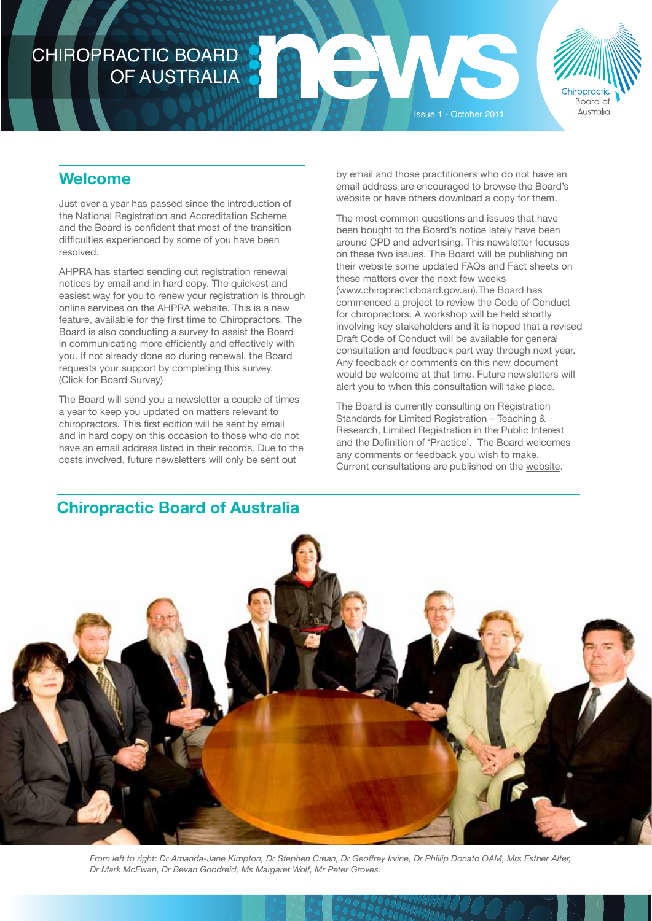# CHIROPRACTIC BOARD OF AUSTRALIA



# **Welcome**

Just over a year has passed since the introduction of the National Registration and Accreditation Scheme and the Board is confident that most of the transition difficulties experienced by some of you have been resolved.

AHPRA has started sending out registration renewal notices by email and in hard copy. The quickest and easiest way for you to renew your registration is through online services on the AHPRA website. This is a new feature, available for the first time to Chiropractors. The Board is also conducting a survey to assist the Board in communicating more efficiently and effectively with you. If not already done so during renewal, the Board requests your support by completing this survey. [\(Click for Board Survey\)](http://www.marketmetrics-online.com.au/QAR/QAR.php?LEFT=0&TOP=%20100&BTOP=0&INFO=bSUOQQCtsuFN9JKeSMePbRYlO)

The Board will send you a newsletter a couple of times a year to keep you updated on matters relevant to chiropractors. This first edition will be sent by email and in hard copy on this occasion to those who do not have an email address listed in their records. Due to the costs involved, future newsletters will only be sent out

by email and those practitioners who do not have an email address are encouraged to browse the Board's website or have others download a copy for them.

Issue 1 - October 2011

The most common questions and issues that have been bought to the Board's notice lately have been around CPD and advertising. This newsletter focuses on these two issues. The Board will be publishing on their website some updated FAQs and Fact sheets on these matters over the next few weeks (www.chiropracticboard.gov.au).The Board has commenced a project to review the Code of Conduct for chiropractors. A workshop will be held shortly involving key stakeholders and it is hoped that a revised Draft Code of Conduct will be available for general consultation and feedback part way through next year. Any feedback or comments on this new document would be welcome at that time. Future newsletters will alert you to when this consultation will take place.

The Board is currently consulting on Registration Standards for Limited Registration – Teaching & Research, Limited Registration in the Public Interest and the Definition of 'Practice'. The Board welcomes any comments or feedback you wish to make. [Current consultations are published on the website](http://www.chiropracticboard.gov.au/News/Current-Consultations.aspx).

### **Chiropractic Board of Australia**



*From left to right: Dr Amanda-Jane Kimpton, Dr Stephen Crean, Dr Geoffrey Irvine, Dr Phillip Donato OAM, Mrs Esther Alter, Dr Mark McEwan, Dr Bevan Goodreid, Ms Margaret Wolf, Mr Peter Groves.*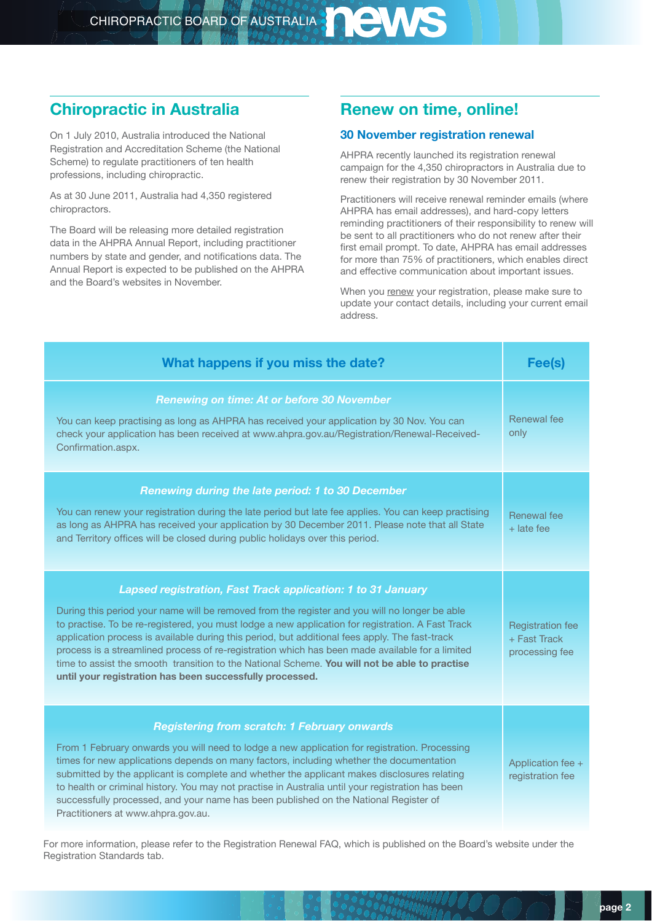# **Chiropractic in Australia**

On 1 July 2010, Australia introduced the National Registration and Accreditation Scheme (the National Scheme) to regulate practitioners of ten health professions, including chiropractic.

As at 30 June 2011, Australia had 4,350 registered chiropractors.

The Board will be releasing more detailed registration data in the AHPRA Annual Report, including practitioner numbers by state and gender, and notifications data. The Annual Report is expected to be published on the AHPRA and the Board's websites in November.

# **Renew on time, online!**

#### **30 November registration renewal**

AHPRA recently launched its registration renewal campaign for the 4,350 chiropractors in Australia due to renew their registration by 30 November 2011.

Practitioners will receive renewal reminder emails (where AHPRA has email addresses), and hard-copy letters reminding practitioners of their responsibility to renew will be sent to all practitioners who do not renew after their first email prompt. To date, AHPRA has email addresses for more than 75% of practitioners, which enables direct and effective communication about important issues.

When you [renew](http://www.ahpra.gov.au) your registration, please make sure to update your contact details, including your current email address.

| What happens if you miss the date?                                                                                                                                                                                                                                                                                                                                                                                                                                                                                                                                                                                                   | Fee(s)                                                    |
|--------------------------------------------------------------------------------------------------------------------------------------------------------------------------------------------------------------------------------------------------------------------------------------------------------------------------------------------------------------------------------------------------------------------------------------------------------------------------------------------------------------------------------------------------------------------------------------------------------------------------------------|-----------------------------------------------------------|
| <b>Renewing on time: At or before 30 November</b><br>You can keep practising as long as AHPRA has received your application by 30 Nov. You can<br>check your application has been received at www.ahpra.gov.au/Registration/Renewal-Received-<br>Confirmation.aspx.                                                                                                                                                                                                                                                                                                                                                                  | Renewal fee<br>only                                       |
| Renewing during the late period: 1 to 30 December<br>You can renew your registration during the late period but late fee applies. You can keep practising<br>as long as AHPRA has received your application by 30 December 2011. Please note that all State<br>and Territory offices will be closed during public holidays over this period.                                                                                                                                                                                                                                                                                         | Renewal fee<br>$+$ late fee                               |
| Lapsed registration, Fast Track application: 1 to 31 January<br>During this period your name will be removed from the register and you will no longer be able<br>to practise. To be re-registered, you must lodge a new application for registration. A Fast Track<br>application process is available during this period, but additional fees apply. The fast-track<br>process is a streamlined process of re-registration which has been made available for a limited<br>time to assist the smooth transition to the National Scheme. You will not be able to practise<br>until your registration has been successfully processed. | <b>Registration fee</b><br>+ Fast Track<br>processing fee |
| <b>Registering from scratch: 1 February onwards</b><br>From 1 February onwards you will need to lodge a new application for registration. Processing<br>times for new applications depends on many factors, including whether the documentation<br>submitted by the applicant is complete and whether the applicant makes disclosures relating<br>to health or criminal history. You may not practise in Australia until your registration has been<br>successfully processed, and your name has been published on the National Register of<br>Practitioners at www.ahpra.gov.au.                                                    | Application fee +<br>registration fee                     |

For more information, please refer to the Registration Renewal FAQ, which is published on the Board's website under the Registration Standards tab.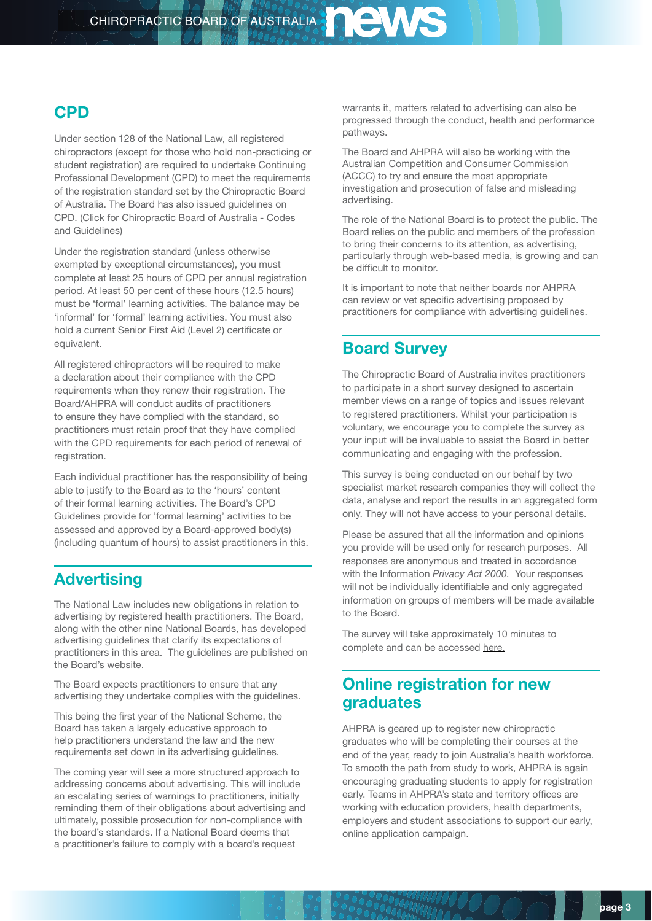#### **CPD**

Under section 128 of the National Law, all registered chiropractors (except for those who hold non-practicing or student registration) are required to undertake Continuing Professional Development (CPD) to meet the requirements of the registration standard set by the Chiropractic Board of Australia. The Board has also issued guidelines on CPD. [\(Click for Chiropractic Board of Australia - Codes](http://www.chiropracticboard.gov.au/Codes-Guidelines.aspx)  [and Guidelines](http://www.chiropracticboard.gov.au/Codes-Guidelines.aspx))

Under the registration standard (unless otherwise exempted by exceptional circumstances), you must complete at least 25 hours of CPD per annual registration period. At least 50 per cent of these hours (12.5 hours) must be 'formal' learning activities. The balance may be 'informal' for 'formal' learning activities. You must also hold a current Senior First Aid (Level 2) certificate or equivalent.

All registered chiropractors will be required to make a declaration about their compliance with the CPD requirements when they renew their registration. The Board/AHPRA will conduct audits of practitioners to ensure they have complied with the standard, so practitioners must retain proof that they have complied with the CPD requirements for each period of renewal of registration.

Each individual practitioner has the responsibility of being able to justify to the Board as to the 'hours' content of their formal learning activities. The Board's CPD Guidelines provide for 'formal learning' activities to be assessed and approved by a Board-approved body(s) (including quantum of hours) to assist practitioners in this.

### **Advertising**

The National Law includes new obligations in relation to advertising by registered health practitioners. The Board, along with the other nine National Boards, has developed advertising guidelines that clarify its expectations of practitioners in this area. The guidelines are published on the Board's website.

The Board expects practitioners to ensure that any advertising they undertake complies with the guidelines.

This being the first year of the National Scheme, the Board has taken a largely educative approach to help practitioners understand the law and the new requirements set down in its advertising guidelines.

The coming year will see a more structured approach to addressing concerns about advertising. This will include an escalating series of warnings to practitioners, initially reminding them of their obligations about advertising and ultimately, possible prosecution for non-compliance with the board's standards. If a National Board deems that a practitioner's failure to comply with a board's request

warrants it, matters related to advertising can also be progressed through the conduct, health and performance pathways.

The Board and AHPRA will also be working with the Australian Competition and Consumer Commission (ACCC) to try and ensure the most appropriate investigation and prosecution of false and misleading advertising.

The role of the National Board is to protect the public. The Board relies on the public and members of the profession to bring their concerns to its attention, as advertising, particularly through web-based media, is growing and can be difficult to monitor.

It is important to note that neither boards nor AHPRA can review or vet specific advertising proposed by practitioners for compliance with advertising guidelines.

# **Board Survey**

The Chiropractic Board of Australia invites practitioners to participate in a short survey designed to ascertain member views on a range of topics and issues relevant to registered practitioners. Whilst your participation is voluntary, we encourage you to complete the survey as your input will be invaluable to assist the Board in better communicating and engaging with the profession.

This survey is being conducted on our behalf by two specialist market research companies they will collect the data, analyse and report the results in an aggregated form only. They will not have access to your personal details.

Please be assured that all the information and opinions you provide will be used only for research purposes. All responses are anonymous and treated in accordance with the Information *Privacy Act 2000.* Your responses will not be individually identifiable and only aggregated information on groups of members will be made available to the Board.

The survey will take approximately 10 minutes to complete and can be accessed [here.](http://www.marketmetrics-online.com.au/QAR/QAR.php?LEFT=0&TOP=%20100&BTOP=0&INFO=bSUOQQCtsuFN9JKeSMePbRYlO)

# **Online registration for new graduates**

AHPRA is geared up to register new chiropractic graduates who will be completing their courses at the end of the year, ready to join Australia's health workforce. To smooth the path from study to work, AHPRA is again encouraging graduating students to apply for registration early. Teams in AHPRA's state and territory offices are working with education providers, health departments, employers and student associations to support our early, online application campaign.

 $U(J\cap)$